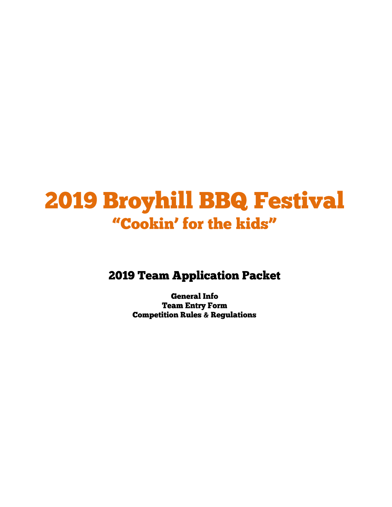# **2019 Broyhill BBQ Festival** "Cookin' for the kids"

**2019 Team Application Packet** 

**General Info Team Entry Form Competition Rules & Regulations**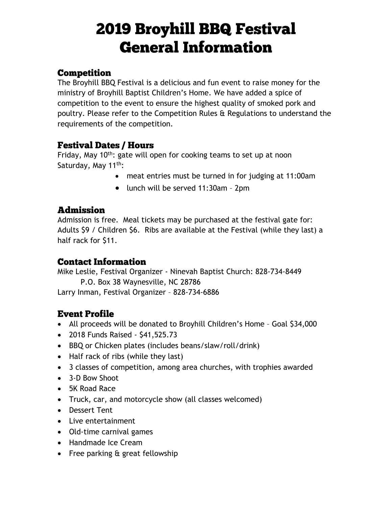## **2019 Broyhill BBQ Festival General Information**

#### **Competition**

The Broyhill BBQ Festival is a delicious and fun event to raise money for the ministry of Broyhill Baptist Children's Home. We have added a spice of competition to the event to ensure the highest quality of smoked pork and poultry. Please refer to the Competition Rules & Regulations to understand the requirements of the competition.

#### **Festival Dates / Hours**

Friday, May 10<sup>th</sup>: gate will open for cooking teams to set up at noon Saturday, May 11<sup>th</sup>:

- meat entries must be turned in for judging at 11:00am
- $\bullet$  lunch will be served 11:30am 2pm

#### **Admission**

Admission is free. Meal tickets may be purchased at the festival gate for: Adults \$9 / Children \$6. Ribs are available at the Festival (while they last) a half rack for \$11.

#### **Contact Information**

Mike Leslie, Festival Organizer - Ninevah Baptist Church: 828-734-8449 P.O. Box 38 Waynesville, NC 28786 Larry Inman, Festival Organizer – 828-734-6886

#### **Event Profile**

- All proceeds will be donated to Broyhill Children's Home Goal \$34,000
- 2018 Funds Raised \$41,525.73
- BBQ or Chicken plates (includes beans/slaw/roll/drink)
- Half rack of ribs (while they last)
- 3 classes of competition, among area churches, with trophies awarded
- 3-D Bow Shoot
- 5K Road Race
- Truck, car, and motorcycle show (all classes welcomed)
- Dessert Tent
- Live entertainment
- Old-time carnival games
- Handmade Ice Cream
- Free parking & great fellowship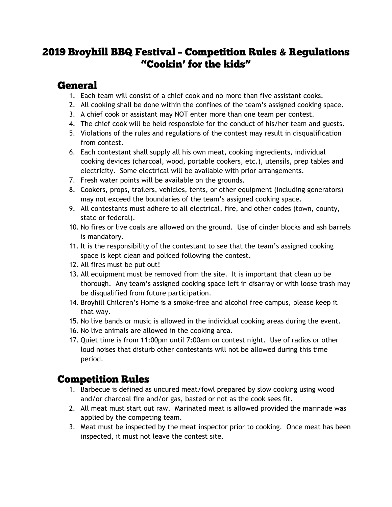#### 2019 Broyhill BBQ Festival - Competition Rules & Regulations "Cookin' for the kids"

#### **General**

- 1. Each team will consist of a chief cook and no more than five assistant cooks.
- 2. All cooking shall be done within the confines of the team's assigned cooking space.
- 3. A chief cook or assistant may NOT enter more than one team per contest.
- 4. The chief cook will be held responsible for the conduct of his/her team and guests.
- 5. Violations of the rules and regulations of the contest may result in disqualification from contest.
- 6. Each contestant shall supply all his own meat, cooking ingredients, individual cooking devices (charcoal, wood, portable cookers, etc.), utensils, prep tables and electricity. Some electrical will be available with prior arrangements.
- 7. Fresh water points will be available on the grounds.
- 8. Cookers, props, trailers, vehicles, tents, or other equipment (including generators) may not exceed the boundaries of the team's assigned cooking space.
- 9. All contestants must adhere to all electrical, fire, and other codes (town, county, state or federal).
- 10. No fires or live coals are allowed on the ground. Use of cinder blocks and ash barrels is mandatory.
- 11. It is the responsibility of the contestant to see that the team's assigned cooking space is kept clean and policed following the contest.
- 12. All fires must be put out!
- 13. All equipment must be removed from the site. It is important that clean up be thorough. Any team's assigned cooking space left in disarray or with loose trash may be disqualified from future participation.
- 14. Broyhill Children's Home is a smoke-free and alcohol free campus, please keep it that way.
- 15. No live bands or music is allowed in the individual cooking areas during the event.
- 16. No live animals are allowed in the cooking area.
- 17. Quiet time is from 11:00pm until 7:00am on contest night. Use of radios or other loud noises that disturb other contestants will not be allowed during this time period.

#### **Competition Rules**

- 1. Barbecue is defined as uncured meat/fowl prepared by slow cooking using wood and/or charcoal fire and/or gas, basted or not as the cook sees fit.
- 2. All meat must start out raw. Marinated meat is allowed provided the marinade was applied by the competing team.
- 3. Meat must be inspected by the meat inspector prior to cooking. Once meat has been inspected, it must not leave the contest site.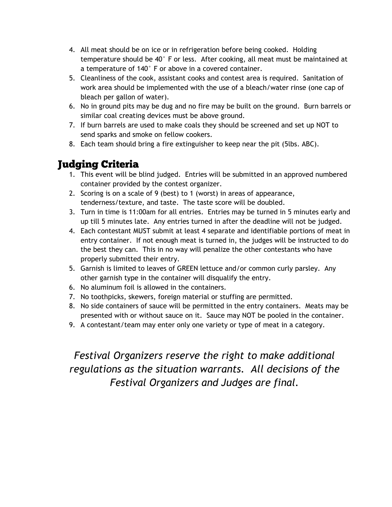- 4. All meat should be on ice or in refrigeration before being cooked. Holding temperature should be 40° F or less. After cooking, all meat must be maintained at a temperature of 140° F or above in a covered container.
- 5. Cleanliness of the cook, assistant cooks and contest area is required. Sanitation of work area should be implemented with the use of a bleach/water rinse (one cap of bleach per gallon of water).
- 6. No in ground pits may be dug and no fire may be built on the ground. Burn barrels or similar coal creating devices must be above ground.
- 7. If burn barrels are used to make coals they should be screened and set up NOT to send sparks and smoke on fellow cookers.
- 8. Each team should bring a fire extinguisher to keep near the pit (5lbs. ABC).

## **Judging Criteria**

- 1. This event will be blind judged. Entries will be submitted in an approved numbered container provided by the contest organizer.
- 2. Scoring is on a scale of 9 (best) to 1 (worst) in areas of appearance, tenderness/texture, and taste. The taste score will be doubled.
- 3. Turn in time is 11:00am for all entries. Entries may be turned in 5 minutes early and up till 5 minutes late. Any entries turned in after the deadline will not be judged.
- 4. Each contestant MUST submit at least 4 separate and identifiable portions of meat in entry container. If not enough meat is turned in, the judges will be instructed to do the best they can. This in no way will penalize the other contestants who have properly submitted their entry.
- 5. Garnish is limited to leaves of GREEN lettuce and/or common curly parsley. Any other garnish type in the container will disqualify the entry.
- 6. No aluminum foil is allowed in the containers.
- 7. No toothpicks, skewers, foreign material or stuffing are permitted.
- 8. No side containers of sauce will be permitted in the entry containers. Meats may be presented with or without sauce on it. Sauce may NOT be pooled in the container.
- 9. A contestant/team may enter only one variety or type of meat in a category.

### *Festival Organizers reserve the right to make additional regulations as the situation warrants. All decisions of the Festival Organizers and Judges are final.*